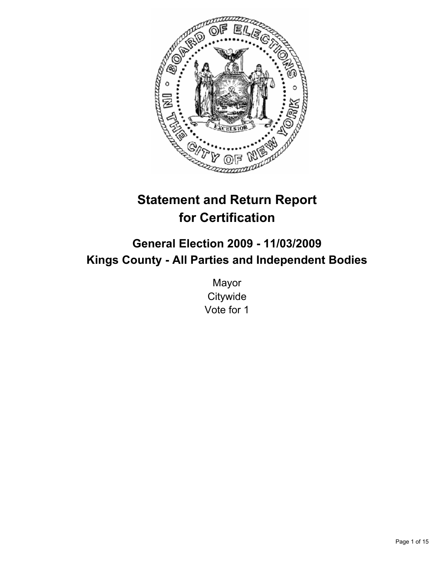

# **Statement and Return Report for Certification**

## **General Election 2009 - 11/03/2009 Kings County - All Parties and Independent Bodies**

Mayor **Citywide** Vote for 1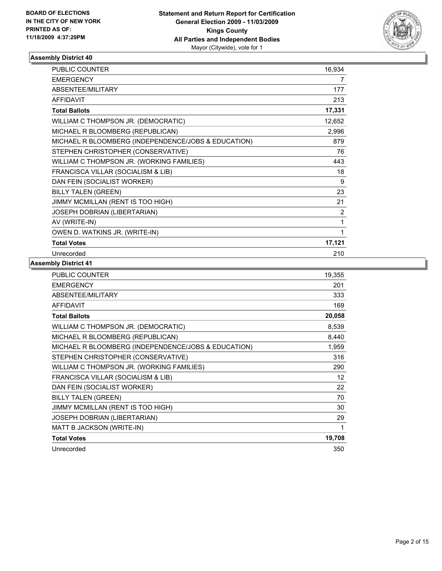

| <b>PUBLIC COUNTER</b>                               | 16,934 |
|-----------------------------------------------------|--------|
| <b>EMERGENCY</b>                                    | 7      |
| ABSENTEE/MILITARY                                   | 177    |
| <b>AFFIDAVIT</b>                                    | 213    |
| <b>Total Ballots</b>                                | 17,331 |
| WILLIAM C THOMPSON JR. (DEMOCRATIC)                 | 12,652 |
| MICHAEL R BLOOMBERG (REPUBLICAN)                    | 2,996  |
| MICHAEL R BLOOMBERG (INDEPENDENCE/JOBS & EDUCATION) | 879    |
| STEPHEN CHRISTOPHER (CONSERVATIVE)                  | 76     |
| WILLIAM C THOMPSON JR. (WORKING FAMILIES)           | 443    |
| FRANCISCA VILLAR (SOCIALISM & LIB)                  | 18     |
| DAN FEIN (SOCIALIST WORKER)                         | 9      |
| <b>BILLY TALEN (GREEN)</b>                          | 23     |
| JIMMY MCMILLAN (RENT IS TOO HIGH)                   | 21     |
| JOSEPH DOBRIAN (LIBERTARIAN)                        | 2      |
| AV (WRITE-IN)                                       | 1      |
| OWEN D. WATKINS JR. (WRITE-IN)                      | 1      |
| <b>Total Votes</b>                                  | 17,121 |
| Unrecorded                                          | 210    |

| <b>PUBLIC COUNTER</b>                               | 19,355 |
|-----------------------------------------------------|--------|
| <b>EMERGENCY</b>                                    | 201    |
| ABSENTEE/MILITARY                                   | 333    |
| <b>AFFIDAVIT</b>                                    | 169    |
| <b>Total Ballots</b>                                | 20,058 |
| WILLIAM C THOMPSON JR. (DEMOCRATIC)                 | 8,539  |
| MICHAEL R BLOOMBERG (REPUBLICAN)                    | 8,440  |
| MICHAEL R BLOOMBERG (INDEPENDENCE/JOBS & EDUCATION) | 1,959  |
| STEPHEN CHRISTOPHER (CONSERVATIVE)                  | 316    |
| WILLIAM C THOMPSON JR. (WORKING FAMILIES)           | 290    |
| FRANCISCA VILLAR (SOCIALISM & LIB)                  | 12     |
| DAN FEIN (SOCIALIST WORKER)                         | 22     |
| <b>BILLY TALEN (GREEN)</b>                          | 70     |
| JIMMY MCMILLAN (RENT IS TOO HIGH)                   | 30     |
| JOSEPH DOBRIAN (LIBERTARIAN)                        | 29     |
| MATT B JACKSON (WRITE-IN)                           | 1      |
| <b>Total Votes</b>                                  | 19,708 |
| Unrecorded                                          | 350    |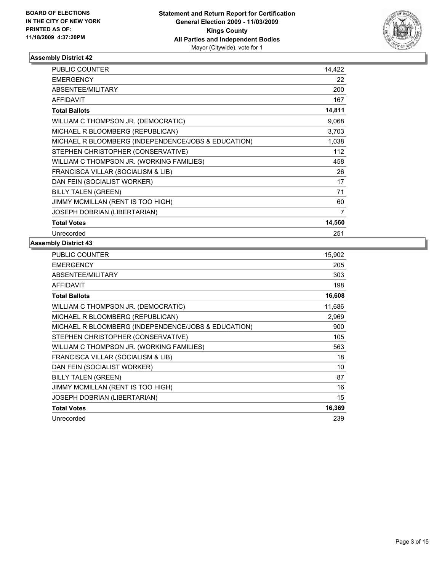

| <b>PUBLIC COUNTER</b>                               | 14.422         |
|-----------------------------------------------------|----------------|
| <b>EMERGENCY</b>                                    | 22             |
| ABSENTEE/MILITARY                                   | 200            |
| <b>AFFIDAVIT</b>                                    | 167            |
| <b>Total Ballots</b>                                | 14,811         |
| WILLIAM C THOMPSON JR. (DEMOCRATIC)                 | 9,068          |
| MICHAEL R BLOOMBERG (REPUBLICAN)                    | 3,703          |
| MICHAEL R BLOOMBERG (INDEPENDENCE/JOBS & EDUCATION) | 1,038          |
| STEPHEN CHRISTOPHER (CONSERVATIVE)                  | 112            |
| WILLIAM C THOMPSON JR. (WORKING FAMILIES)           | 458            |
| FRANCISCA VILLAR (SOCIALISM & LIB)                  | 26             |
| DAN FEIN (SOCIALIST WORKER)                         | 17             |
| <b>BILLY TALEN (GREEN)</b>                          | 71             |
| JIMMY MCMILLAN (RENT IS TOO HIGH)                   | 60             |
| JOSEPH DOBRIAN (LIBERTARIAN)                        | $\overline{7}$ |
| <b>Total Votes</b>                                  | 14,560         |
| Unrecorded                                          | 251            |

| <b>PUBLIC COUNTER</b>                               | 15,902 |
|-----------------------------------------------------|--------|
| <b>EMERGENCY</b>                                    | 205    |
| ABSENTEE/MILITARY                                   | 303    |
| <b>AFFIDAVIT</b>                                    | 198    |
| <b>Total Ballots</b>                                | 16,608 |
| WILLIAM C THOMPSON JR. (DEMOCRATIC)                 | 11,686 |
| MICHAEL R BLOOMBERG (REPUBLICAN)                    | 2,969  |
| MICHAEL R BLOOMBERG (INDEPENDENCE/JOBS & EDUCATION) | 900    |
| STEPHEN CHRISTOPHER (CONSERVATIVE)                  | 105    |
| WILLIAM C THOMPSON JR. (WORKING FAMILIES)           | 563    |
| FRANCISCA VILLAR (SOCIALISM & LIB)                  | 18     |
| DAN FEIN (SOCIALIST WORKER)                         | 10     |
| <b>BILLY TALEN (GREEN)</b>                          | 87     |
| JIMMY MCMILLAN (RENT IS TOO HIGH)                   | 16     |
| JOSEPH DOBRIAN (LIBERTARIAN)                        | 15     |
| <b>Total Votes</b>                                  | 16,369 |
| Unrecorded                                          | 239    |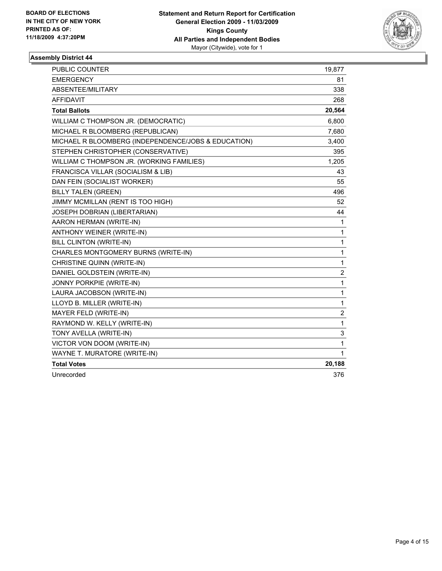

| <b>PUBLIC COUNTER</b>                               | 19,877         |
|-----------------------------------------------------|----------------|
| <b>EMERGENCY</b>                                    | 81             |
| ABSENTEE/MILITARY                                   | 338            |
| <b>AFFIDAVIT</b>                                    | 268            |
| <b>Total Ballots</b>                                | 20,564         |
| WILLIAM C THOMPSON JR. (DEMOCRATIC)                 | 6,800          |
| MICHAEL R BLOOMBERG (REPUBLICAN)                    | 7,680          |
| MICHAEL R BLOOMBERG (INDEPENDENCE/JOBS & EDUCATION) | 3,400          |
| STEPHEN CHRISTOPHER (CONSERVATIVE)                  | 395            |
| WILLIAM C THOMPSON JR. (WORKING FAMILIES)           | 1,205          |
| FRANCISCA VILLAR (SOCIALISM & LIB)                  | 43             |
| DAN FEIN (SOCIALIST WORKER)                         | 55             |
| <b>BILLY TALEN (GREEN)</b>                          | 496            |
| JIMMY MCMILLAN (RENT IS TOO HIGH)                   | 52             |
| JOSEPH DOBRIAN (LIBERTARIAN)                        | 44             |
| AARON HERMAN (WRITE-IN)                             | 1              |
| ANTHONY WEINER (WRITE-IN)                           | 1              |
| BILL CLINTON (WRITE-IN)                             | 1              |
| CHARLES MONTGOMERY BURNS (WRITE-IN)                 | $\mathbf{1}$   |
| CHRISTINE QUINN (WRITE-IN)                          | 1              |
| DANIEL GOLDSTEIN (WRITE-IN)                         | 2              |
| JONNY PORKPIE (WRITE-IN)                            | 1              |
| LAURA JACOBSON (WRITE-IN)                           | $\mathbf{1}$   |
| LLOYD B. MILLER (WRITE-IN)                          | 1              |
| MAYER FELD (WRITE-IN)                               | $\overline{2}$ |
| RAYMOND W. KELLY (WRITE-IN)                         | 1              |
| TONY AVELLA (WRITE-IN)                              | 3              |
| VICTOR VON DOOM (WRITE-IN)                          | 1              |
| WAYNE T. MURATORE (WRITE-IN)                        | 1              |
| <b>Total Votes</b>                                  | 20,188         |
| Unrecorded                                          | 376            |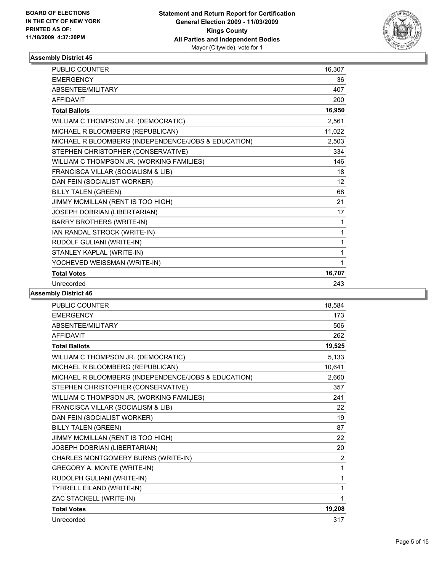

| PUBLIC COUNTER                                      | 16,307 |
|-----------------------------------------------------|--------|
| <b>EMERGENCY</b>                                    | 36     |
| ABSENTEE/MILITARY                                   | 407    |
| <b>AFFIDAVIT</b>                                    | 200    |
| <b>Total Ballots</b>                                | 16,950 |
| WILLIAM C THOMPSON JR. (DEMOCRATIC)                 | 2,561  |
| MICHAEL R BLOOMBERG (REPUBLICAN)                    | 11,022 |
| MICHAEL R BLOOMBERG (INDEPENDENCE/JOBS & EDUCATION) | 2,503  |
| STEPHEN CHRISTOPHER (CONSERVATIVE)                  | 334    |
| WILLIAM C THOMPSON JR. (WORKING FAMILIES)           | 146    |
| FRANCISCA VILLAR (SOCIALISM & LIB)                  | 18     |
| DAN FEIN (SOCIALIST WORKER)                         | 12     |
| <b>BILLY TALEN (GREEN)</b>                          | 68     |
| JIMMY MCMILLAN (RENT IS TOO HIGH)                   | 21     |
| JOSEPH DOBRIAN (LIBERTARIAN)                        | 17     |
| <b>BARRY BROTHERS (WRITE-IN)</b>                    | 1      |
| IAN RANDAL STROCK (WRITE-IN)                        | 1      |
| RUDOLF GULIANI (WRITE-IN)                           | 1      |
| STANLEY KAPLAL (WRITE-IN)                           | 1      |
| YOCHEVED WEISSMAN (WRITE-IN)                        | 1      |
| <b>Total Votes</b>                                  | 16,707 |
| Unrecorded                                          | 243    |

| <b>PUBLIC COUNTER</b>                               | 18,584 |
|-----------------------------------------------------|--------|
| <b>EMERGENCY</b>                                    | 173    |
| ABSENTEE/MILITARY                                   | 506    |
| <b>AFFIDAVIT</b>                                    | 262    |
| <b>Total Ballots</b>                                | 19,525 |
| WILLIAM C THOMPSON JR. (DEMOCRATIC)                 | 5,133  |
| MICHAEL R BLOOMBERG (REPUBLICAN)                    | 10,641 |
| MICHAEL R BLOOMBERG (INDEPENDENCE/JOBS & EDUCATION) | 2,660  |
| STEPHEN CHRISTOPHER (CONSERVATIVE)                  | 357    |
| WILLIAM C THOMPSON JR. (WORKING FAMILIES)           | 241    |
| FRANCISCA VILLAR (SOCIALISM & LIB)                  | 22     |
| DAN FEIN (SOCIALIST WORKER)                         | 19     |
| <b>BILLY TALEN (GREEN)</b>                          | 87     |
| JIMMY MCMILLAN (RENT IS TOO HIGH)                   | 22     |
| JOSEPH DOBRIAN (LIBERTARIAN)                        | 20     |
| CHARLES MONTGOMERY BURNS (WRITE-IN)                 | 2      |
| GREGORY A. MONTE (WRITE-IN)                         | 1      |
| RUDOLPH GULIANI (WRITE-IN)                          | 1      |
| <b>TYRRELL EILAND (WRITE-IN)</b>                    | 1      |
| ZAC STACKELL (WRITE-IN)                             | 1      |
| <b>Total Votes</b>                                  | 19,208 |
| Unrecorded                                          | 317    |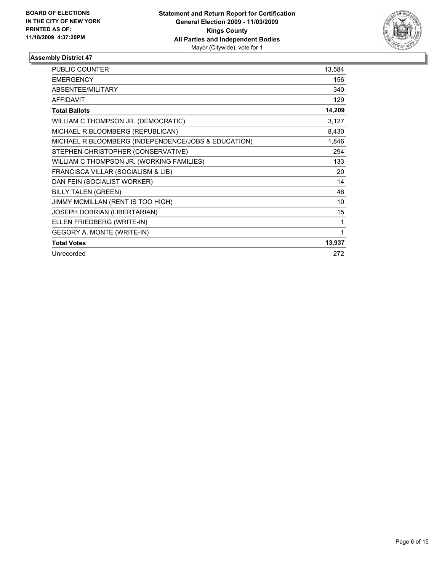

| <b>PUBLIC COUNTER</b>                               | 13,584 |
|-----------------------------------------------------|--------|
| <b>EMERGENCY</b>                                    | 156    |
| ABSENTEE/MILITARY                                   | 340    |
| <b>AFFIDAVIT</b>                                    | 129    |
| <b>Total Ballots</b>                                | 14,209 |
| WILLIAM C THOMPSON JR. (DEMOCRATIC)                 | 3,127  |
| MICHAEL R BLOOMBERG (REPUBLICAN)                    | 8,430  |
| MICHAEL R BLOOMBERG (INDEPENDENCE/JOBS & EDUCATION) | 1,846  |
| STEPHEN CHRISTOPHER (CONSERVATIVE)                  | 294    |
| WILLIAM C THOMPSON JR. (WORKING FAMILIES)           | 133    |
| FRANCISCA VILLAR (SOCIALISM & LIB)                  | 20     |
| DAN FEIN (SOCIALIST WORKER)                         | 14     |
| <b>BILLY TALEN (GREEN)</b>                          | 46     |
| JIMMY MCMILLAN (RENT IS TOO HIGH)                   | 10     |
| JOSEPH DOBRIAN (LIBERTARIAN)                        | 15     |
| ELLEN FRIEDBERG (WRITE-IN)                          | 1      |
| GEGORY A. MONTE (WRITE-IN)                          | 1      |
| <b>Total Votes</b>                                  | 13,937 |
| Unrecorded                                          | 272    |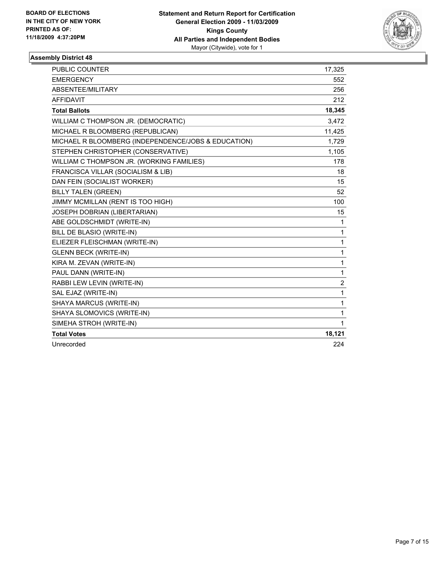

| PUBLIC COUNTER                                      | 17,325       |
|-----------------------------------------------------|--------------|
| <b>EMERGENCY</b>                                    | 552          |
| ABSENTEE/MILITARY                                   | 256          |
| <b>AFFIDAVIT</b>                                    | 212          |
| <b>Total Ballots</b>                                | 18,345       |
| WILLIAM C THOMPSON JR. (DEMOCRATIC)                 | 3,472        |
| MICHAEL R BLOOMBERG (REPUBLICAN)                    | 11,425       |
| MICHAEL R BLOOMBERG (INDEPENDENCE/JOBS & EDUCATION) | 1,729        |
| STEPHEN CHRISTOPHER (CONSERVATIVE)                  | 1,105        |
| WILLIAM C THOMPSON JR. (WORKING FAMILIES)           | 178          |
| FRANCISCA VILLAR (SOCIALISM & LIB)                  | 18           |
| DAN FEIN (SOCIALIST WORKER)                         | 15           |
| <b>BILLY TALEN (GREEN)</b>                          | 52           |
| JIMMY MCMILLAN (RENT IS TOO HIGH)                   | 100          |
| JOSEPH DOBRIAN (LIBERTARIAN)                        | 15           |
| ABE GOLDSCHMIDT (WRITE-IN)                          | 1            |
| BILL DE BLASIO (WRITE-IN)                           | $\mathbf{1}$ |
| ELIEZER FLEISCHMAN (WRITE-IN)                       | $\mathbf{1}$ |
| <b>GLENN BECK (WRITE-IN)</b>                        | $\mathbf{1}$ |
| KIRA M. ZEVAN (WRITE-IN)                            | 1            |
| PAUL DANN (WRITE-IN)                                | $\mathbf{1}$ |
| RABBI LEW LEVIN (WRITE-IN)                          | 2            |
| SAL EJAZ (WRITE-IN)                                 | 1            |
| SHAYA MARCUS (WRITE-IN)                             | $\mathbf{1}$ |
| SHAYA SLOMOVICS (WRITE-IN)                          | $\mathbf{1}$ |
| SIMEHA STROH (WRITE-IN)                             | $\mathbf{1}$ |
| <b>Total Votes</b>                                  | 18,121       |
| Unrecorded                                          | 224          |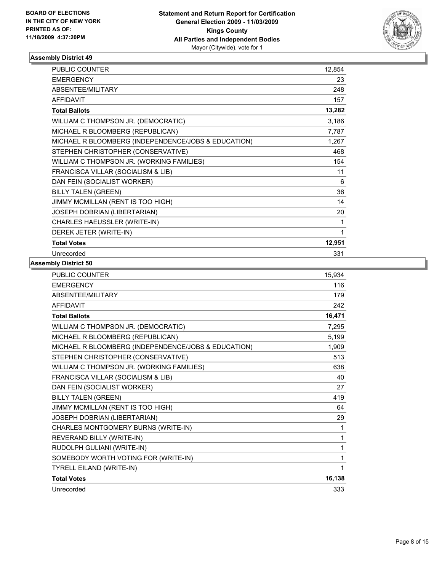

| <b>PUBLIC COUNTER</b>                               | 12,854 |
|-----------------------------------------------------|--------|
| <b>EMERGENCY</b>                                    | 23     |
| ABSENTEE/MILITARY                                   | 248    |
| <b>AFFIDAVIT</b>                                    | 157    |
| <b>Total Ballots</b>                                | 13,282 |
| WILLIAM C THOMPSON JR. (DEMOCRATIC)                 | 3,186  |
| MICHAEL R BLOOMBERG (REPUBLICAN)                    | 7,787  |
| MICHAEL R BLOOMBERG (INDEPENDENCE/JOBS & EDUCATION) | 1,267  |
| STEPHEN CHRISTOPHER (CONSERVATIVE)                  | 468    |
| WILLIAM C THOMPSON JR. (WORKING FAMILIES)           | 154    |
| FRANCISCA VILLAR (SOCIALISM & LIB)                  | 11     |
| DAN FEIN (SOCIALIST WORKER)                         | 6      |
| <b>BILLY TALEN (GREEN)</b>                          | 36     |
| JIMMY MCMILLAN (RENT IS TOO HIGH)                   | 14     |
| JOSEPH DOBRIAN (LIBERTARIAN)                        | 20     |
| CHARLES HAEUSSLER (WRITE-IN)                        | 1      |
| DEREK JETER (WRITE-IN)                              | 1      |
| <b>Total Votes</b>                                  | 12,951 |
| Unrecorded                                          | 331    |

| <b>PUBLIC COUNTER</b>                               | 15,934 |
|-----------------------------------------------------|--------|
| <b>EMERGENCY</b>                                    | 116    |
| <b>ABSENTEE/MILITARY</b>                            | 179    |
| <b>AFFIDAVIT</b>                                    | 242    |
| <b>Total Ballots</b>                                | 16,471 |
| WILLIAM C THOMPSON JR. (DEMOCRATIC)                 | 7,295  |
| MICHAEL R BLOOMBERG (REPUBLICAN)                    | 5,199  |
| MICHAEL R BLOOMBERG (INDEPENDENCE/JOBS & EDUCATION) | 1,909  |
| STEPHEN CHRISTOPHER (CONSERVATIVE)                  | 513    |
| WILLIAM C THOMPSON JR. (WORKING FAMILIES)           | 638    |
| FRANCISCA VILLAR (SOCIALISM & LIB)                  | 40     |
| DAN FEIN (SOCIALIST WORKER)                         | 27     |
| <b>BILLY TALEN (GREEN)</b>                          | 419    |
| JIMMY MCMILLAN (RENT IS TOO HIGH)                   | 64     |
| JOSEPH DOBRIAN (LIBERTARIAN)                        | 29     |
| CHARLES MONTGOMERY BURNS (WRITE-IN)                 | 1      |
| REVERAND BILLY (WRITE-IN)                           | 1      |
| RUDOLPH GULIANI (WRITE-IN)                          | 1      |
| SOMEBODY WORTH VOTING FOR (WRITE-IN)                | 1      |
| <b>TYRELL EILAND (WRITE-IN)</b>                     | 1      |
| <b>Total Votes</b>                                  | 16,138 |
| Unrecorded                                          | 333    |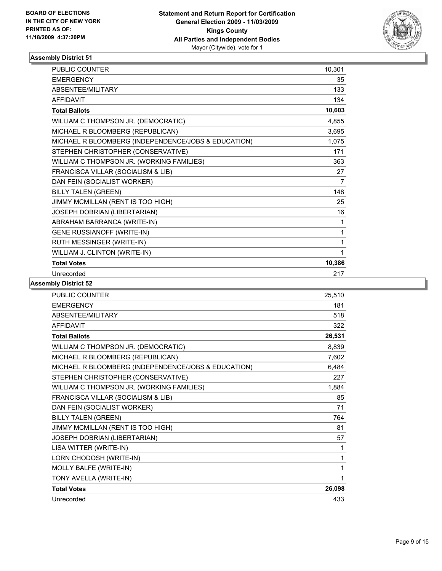

| <b>PUBLIC COUNTER</b>                               | 10,301 |
|-----------------------------------------------------|--------|
| <b>EMERGENCY</b>                                    | 35     |
| ABSENTEE/MILITARY                                   | 133    |
| <b>AFFIDAVIT</b>                                    | 134    |
| <b>Total Ballots</b>                                | 10,603 |
| WILLIAM C THOMPSON JR. (DEMOCRATIC)                 | 4,855  |
| MICHAEL R BLOOMBERG (REPUBLICAN)                    | 3,695  |
| MICHAEL R BLOOMBERG (INDEPENDENCE/JOBS & EDUCATION) | 1,075  |
| STEPHEN CHRISTOPHER (CONSERVATIVE)                  | 171    |
| WILLIAM C THOMPSON JR. (WORKING FAMILIES)           | 363    |
| FRANCISCA VILLAR (SOCIALISM & LIB)                  | 27     |
| DAN FEIN (SOCIALIST WORKER)                         | 7      |
| <b>BILLY TALEN (GREEN)</b>                          | 148    |
| JIMMY MCMILLAN (RENT IS TOO HIGH)                   | 25     |
| JOSEPH DOBRIAN (LIBERTARIAN)                        | 16     |
| ABRAHAM BARRANCA (WRITE-IN)                         | 1      |
| <b>GENE RUSSIANOFF (WRITE-IN)</b>                   | 1      |
| RUTH MESSINGER (WRITE-IN)                           | 1      |
| WILLIAM J. CLINTON (WRITE-IN)                       | 1      |
| <b>Total Votes</b>                                  | 10,386 |
| Unrecorded                                          | 217    |

| <b>PUBLIC COUNTER</b>                               | 25,510 |
|-----------------------------------------------------|--------|
| <b>EMERGENCY</b>                                    | 181    |
| ABSENTEE/MILITARY                                   | 518    |
| <b>AFFIDAVIT</b>                                    | 322    |
| <b>Total Ballots</b>                                | 26,531 |
| WILLIAM C THOMPSON JR. (DEMOCRATIC)                 | 8,839  |
| MICHAEL R BLOOMBERG (REPUBLICAN)                    | 7,602  |
| MICHAEL R BLOOMBERG (INDEPENDENCE/JOBS & EDUCATION) | 6,484  |
| STEPHEN CHRISTOPHER (CONSERVATIVE)                  | 227    |
| WILLIAM C THOMPSON JR. (WORKING FAMILIES)           | 1,884  |
| FRANCISCA VILLAR (SOCIALISM & LIB)                  | 85     |
| DAN FEIN (SOCIALIST WORKER)                         | 71     |
| <b>BILLY TALEN (GREEN)</b>                          | 764    |
| JIMMY MCMILLAN (RENT IS TOO HIGH)                   | 81     |
| JOSEPH DOBRIAN (LIBERTARIAN)                        | 57     |
| LISA WITTER (WRITE-IN)                              | 1      |
| LORN CHODOSH (WRITE-IN)                             | 1      |
| MOLLY BALFE (WRITE-IN)                              | 1      |
| TONY AVELLA (WRITE-IN)                              | 1      |
| <b>Total Votes</b>                                  | 26,098 |
| Unrecorded                                          | 433    |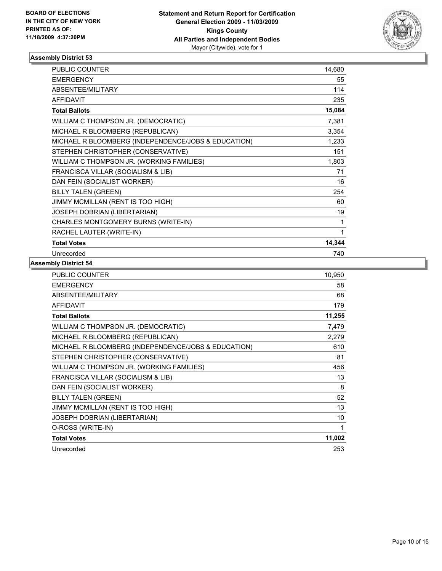

| <b>PUBLIC COUNTER</b>                               | 14,680 |
|-----------------------------------------------------|--------|
| <b>EMERGENCY</b>                                    | 55     |
| ABSENTEE/MILITARY                                   | 114    |
| <b>AFFIDAVIT</b>                                    | 235    |
| <b>Total Ballots</b>                                | 15,084 |
| WILLIAM C THOMPSON JR. (DEMOCRATIC)                 | 7,381  |
| MICHAEL R BLOOMBERG (REPUBLICAN)                    | 3,354  |
| MICHAEL R BLOOMBERG (INDEPENDENCE/JOBS & EDUCATION) | 1,233  |
| STEPHEN CHRISTOPHER (CONSERVATIVE)                  | 151    |
| WILLIAM C THOMPSON JR. (WORKING FAMILIES)           | 1,803  |
| FRANCISCA VILLAR (SOCIALISM & LIB)                  | 71     |
| DAN FEIN (SOCIALIST WORKER)                         | 16     |
| <b>BILLY TALEN (GREEN)</b>                          | 254    |
| JIMMY MCMILLAN (RENT IS TOO HIGH)                   | 60     |
| JOSEPH DOBRIAN (LIBERTARIAN)                        | 19     |
| CHARLES MONTGOMERY BURNS (WRITE-IN)                 | 1      |
| RACHEL LAUTER (WRITE-IN)                            | 1      |
| <b>Total Votes</b>                                  | 14,344 |
| Unrecorded                                          | 740    |

| <b>PUBLIC COUNTER</b>                               | 10,950 |
|-----------------------------------------------------|--------|
| <b>EMERGENCY</b>                                    | 58     |
| ABSENTEE/MILITARY                                   | 68     |
| <b>AFFIDAVIT</b>                                    | 179    |
| <b>Total Ballots</b>                                | 11,255 |
| WILLIAM C THOMPSON JR. (DEMOCRATIC)                 | 7,479  |
| MICHAEL R BLOOMBERG (REPUBLICAN)                    | 2,279  |
| MICHAEL R BLOOMBERG (INDEPENDENCE/JOBS & EDUCATION) | 610    |
| STEPHEN CHRISTOPHER (CONSERVATIVE)                  | 81     |
| WILLIAM C THOMPSON JR. (WORKING FAMILIES)           | 456    |
| FRANCISCA VILLAR (SOCIALISM & LIB)                  | 13     |
| DAN FEIN (SOCIALIST WORKER)                         | 8      |
| <b>BILLY TALEN (GREEN)</b>                          | 52     |
| JIMMY MCMILLAN (RENT IS TOO HIGH)                   | 13     |
| JOSEPH DOBRIAN (LIBERTARIAN)                        | 10     |
| O-ROSS (WRITE-IN)                                   | 1      |
| <b>Total Votes</b>                                  | 11,002 |
| Unrecorded                                          | 253    |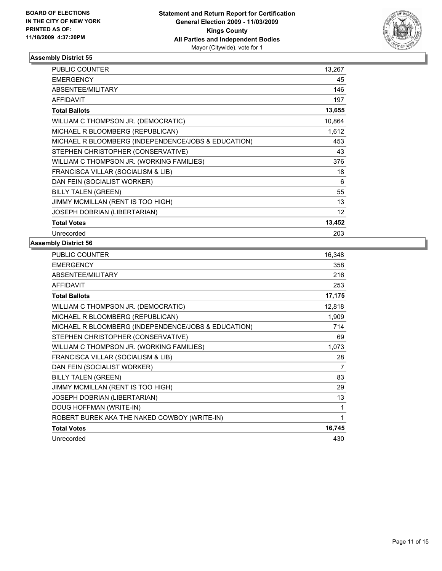

| <b>PUBLIC COUNTER</b>                               | 13,267          |
|-----------------------------------------------------|-----------------|
| <b>EMERGENCY</b>                                    | 45              |
| ABSENTEE/MILITARY                                   | 146             |
| <b>AFFIDAVIT</b>                                    | 197             |
| <b>Total Ballots</b>                                | 13,655          |
| WILLIAM C THOMPSON JR. (DEMOCRATIC)                 | 10,864          |
| MICHAEL R BLOOMBERG (REPUBLICAN)                    | 1,612           |
| MICHAEL R BLOOMBERG (INDEPENDENCE/JOBS & EDUCATION) | 453             |
| STEPHEN CHRISTOPHER (CONSERVATIVE)                  | 43              |
| WILLIAM C THOMPSON JR. (WORKING FAMILIES)           | 376             |
| FRANCISCA VILLAR (SOCIALISM & LIB)                  | 18              |
| DAN FEIN (SOCIALIST WORKER)                         | 6               |
| <b>BILLY TALEN (GREEN)</b>                          | 55              |
| JIMMY MCMILLAN (RENT IS TOO HIGH)                   | 13              |
| <b>JOSEPH DOBRIAN (LIBERTARIAN)</b>                 | 12 <sup>°</sup> |
| <b>Total Votes</b>                                  | 13,452          |
| Unrecorded                                          | 203             |

| PUBLIC COUNTER                                      | 16,348 |
|-----------------------------------------------------|--------|
| <b>EMERGENCY</b>                                    | 358    |
| ABSENTEE/MILITARY                                   | 216    |
| <b>AFFIDAVIT</b>                                    | 253    |
| <b>Total Ballots</b>                                | 17,175 |
| WILLIAM C THOMPSON JR. (DEMOCRATIC)                 | 12,818 |
| MICHAEL R BLOOMBERG (REPUBLICAN)                    | 1,909  |
| MICHAEL R BLOOMBERG (INDEPENDENCE/JOBS & EDUCATION) | 714    |
| STEPHEN CHRISTOPHER (CONSERVATIVE)                  | 69     |
| WILLIAM C THOMPSON JR. (WORKING FAMILIES)           | 1,073  |
| FRANCISCA VILLAR (SOCIALISM & LIB)                  | 28     |
| DAN FEIN (SOCIALIST WORKER)                         | 7      |
| <b>BILLY TALEN (GREEN)</b>                          | 83     |
| JIMMY MCMILLAN (RENT IS TOO HIGH)                   | 29     |
| JOSEPH DOBRIAN (LIBERTARIAN)                        | 13     |
| DOUG HOFFMAN (WRITE-IN)                             | 1      |
| ROBERT BUREK AKA THE NAKED COWBOY (WRITE-IN)        | 1      |
| <b>Total Votes</b>                                  | 16,745 |
| Unrecorded                                          | 430    |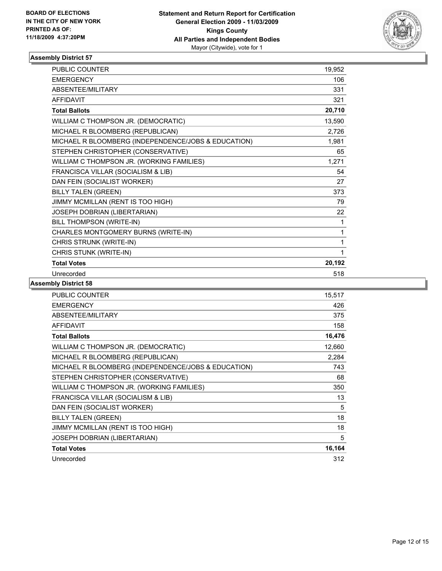

| <b>PUBLIC COUNTER</b>                               | 19,952 |
|-----------------------------------------------------|--------|
| <b>EMERGENCY</b>                                    | 106    |
| ABSENTEE/MILITARY                                   | 331    |
| <b>AFFIDAVIT</b>                                    | 321    |
| <b>Total Ballots</b>                                | 20,710 |
| WILLIAM C THOMPSON JR. (DEMOCRATIC)                 | 13,590 |
| MICHAEL R BLOOMBERG (REPUBLICAN)                    | 2,726  |
| MICHAEL R BLOOMBERG (INDEPENDENCE/JOBS & EDUCATION) | 1,981  |
| STEPHEN CHRISTOPHER (CONSERVATIVE)                  | 65     |
| WILLIAM C THOMPSON JR. (WORKING FAMILIES)           | 1,271  |
| FRANCISCA VILLAR (SOCIALISM & LIB)                  | 54     |
| DAN FEIN (SOCIALIST WORKER)                         | 27     |
| <b>BILLY TALEN (GREEN)</b>                          | 373    |
| JIMMY MCMILLAN (RENT IS TOO HIGH)                   | 79     |
| JOSEPH DOBRIAN (LIBERTARIAN)                        | 22     |
| BILL THOMPSON (WRITE-IN)                            | 1      |
| CHARLES MONTGOMERY BURNS (WRITE-IN)                 | 1      |
| CHRIS STRUNK (WRITE-IN)                             | 1      |
| CHRIS STUNK (WRITE-IN)                              | 1      |
| <b>Total Votes</b>                                  | 20,192 |
| Unrecorded                                          | 518    |

| <b>PUBLIC COUNTER</b>                               | 15,517 |
|-----------------------------------------------------|--------|
| <b>EMERGENCY</b>                                    | 426    |
| ABSENTEE/MILITARY                                   | 375    |
| <b>AFFIDAVIT</b>                                    | 158    |
| <b>Total Ballots</b>                                | 16,476 |
| WILLIAM C THOMPSON JR. (DEMOCRATIC)                 | 12,660 |
| MICHAEL R BLOOMBERG (REPUBLICAN)                    | 2,284  |
| MICHAEL R BLOOMBERG (INDEPENDENCE/JOBS & EDUCATION) | 743    |
| STEPHEN CHRISTOPHER (CONSERVATIVE)                  | 68     |
| WILLIAM C THOMPSON JR. (WORKING FAMILIES)           | 350    |
| FRANCISCA VILLAR (SOCIALISM & LIB)                  | 13     |
| DAN FEIN (SOCIALIST WORKER)                         | 5      |
| <b>BILLY TALEN (GREEN)</b>                          | 18     |
| JIMMY MCMILLAN (RENT IS TOO HIGH)                   | 18     |
| JOSEPH DOBRIAN (LIBERTARIAN)                        | 5      |
| <b>Total Votes</b>                                  | 16,164 |
| Unrecorded                                          | 312    |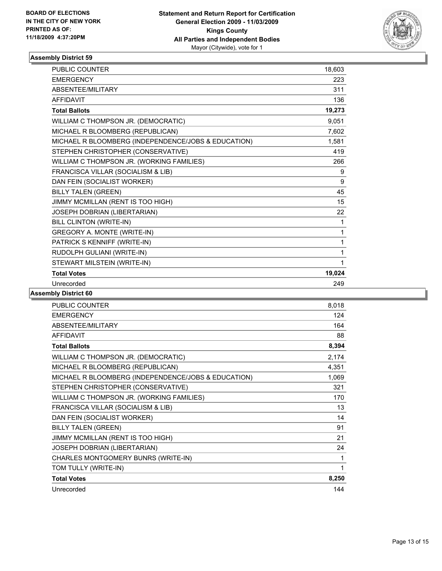

| <b>PUBLIC COUNTER</b>                               | 18,603 |
|-----------------------------------------------------|--------|
| <b>EMERGENCY</b>                                    | 223    |
| <b>ABSENTEE/MILITARY</b>                            | 311    |
| <b>AFFIDAVIT</b>                                    | 136    |
| <b>Total Ballots</b>                                | 19,273 |
| WILLIAM C THOMPSON JR. (DEMOCRATIC)                 | 9,051  |
| MICHAEL R BLOOMBERG (REPUBLICAN)                    | 7,602  |
| MICHAEL R BLOOMBERG (INDEPENDENCE/JOBS & EDUCATION) | 1,581  |
| STEPHEN CHRISTOPHER (CONSERVATIVE)                  | 419    |
| WILLIAM C THOMPSON JR. (WORKING FAMILIES)           | 266    |
| FRANCISCA VILLAR (SOCIALISM & LIB)                  | 9      |
| DAN FEIN (SOCIALIST WORKER)                         | 9      |
| <b>BILLY TALEN (GREEN)</b>                          | 45     |
| JIMMY MCMILLAN (RENT IS TOO HIGH)                   | 15     |
| JOSEPH DOBRIAN (LIBERTARIAN)                        | 22     |
| BILL CLINTON (WRITE-IN)                             | 1      |
| GREGORY A. MONTE (WRITE-IN)                         | 1      |
| PATRICK S KENNIFF (WRITE-IN)                        | 1      |
| RUDOLPH GULIANI (WRITE-IN)                          | 1      |
| STEWART MILSTEIN (WRITE-IN)                         | 1      |
| <b>Total Votes</b>                                  | 19,024 |
| Unrecorded                                          | 249    |

| <b>PUBLIC COUNTER</b>                               | 8,018 |
|-----------------------------------------------------|-------|
| <b>EMERGENCY</b>                                    | 124   |
| ABSENTEE/MILITARY                                   | 164   |
| <b>AFFIDAVIT</b>                                    | 88    |
| <b>Total Ballots</b>                                | 8,394 |
| WILLIAM C THOMPSON JR. (DEMOCRATIC)                 | 2,174 |
| MICHAEL R BLOOMBERG (REPUBLICAN)                    | 4,351 |
| MICHAEL R BLOOMBERG (INDEPENDENCE/JOBS & EDUCATION) | 1,069 |
| STEPHEN CHRISTOPHER (CONSERVATIVE)                  | 321   |
| WILLIAM C THOMPSON JR. (WORKING FAMILIES)           | 170   |
| FRANCISCA VILLAR (SOCIALISM & LIB)                  | 13    |
| DAN FEIN (SOCIALIST WORKER)                         | 14    |
| <b>BILLY TALEN (GREEN)</b>                          | 91    |
| JIMMY MCMILLAN (RENT IS TOO HIGH)                   | 21    |
| JOSEPH DOBRIAN (LIBERTARIAN)                        | 24    |
| CHARLES MONTGOMERY BUNRS (WRITE-IN)                 | 1     |
| TOM TULLY (WRITE-IN)                                | 1     |
| <b>Total Votes</b>                                  | 8,250 |
| Unrecorded                                          | 144   |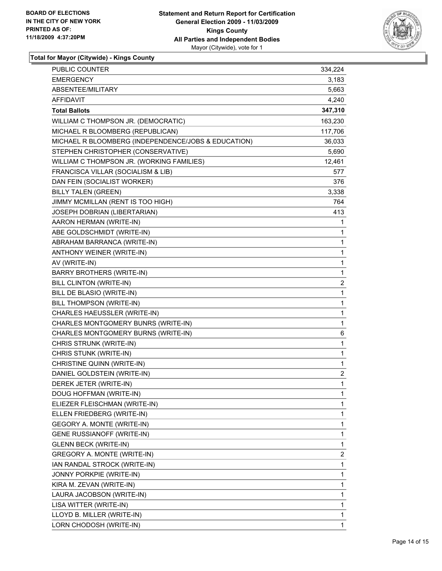

**Total for Mayor (Citywide) - Kings County**

| PUBLIC COUNTER                                      | 334,224 |
|-----------------------------------------------------|---------|
| <b>EMERGENCY</b>                                    | 3,183   |
| ABSENTEE/MILITARY                                   | 5,663   |
| AFFIDAVIT                                           | 4,240   |
| <b>Total Ballots</b>                                | 347,310 |
| WILLIAM C THOMPSON JR. (DEMOCRATIC)                 | 163,230 |
| MICHAEL R BLOOMBERG (REPUBLICAN)                    | 117,706 |
| MICHAEL R BLOOMBERG (INDEPENDENCE/JOBS & EDUCATION) | 36,033  |
| STEPHEN CHRISTOPHER (CONSERVATIVE)                  | 5,690   |
| WILLIAM C THOMPSON JR. (WORKING FAMILIES)           | 12,461  |
| FRANCISCA VILLAR (SOCIALISM & LIB)                  | 577     |
| DAN FEIN (SOCIALIST WORKER)                         | 376     |
| <b>BILLY TALEN (GREEN)</b>                          | 3,338   |
| JIMMY MCMILLAN (RENT IS TOO HIGH)                   | 764     |
| JOSEPH DOBRIAN (LIBERTARIAN)                        | 413     |
| AARON HERMAN (WRITE-IN)                             | 1       |
| ABE GOLDSCHMIDT (WRITE-IN)                          | 1       |
| ABRAHAM BARRANCA (WRITE-IN)                         | 1       |
| ANTHONY WEINER (WRITE-IN)                           | 1       |
| AV (WRITE-IN)                                       | 1       |
| <b>BARRY BROTHERS (WRITE-IN)</b>                    | 1       |
| <b>BILL CLINTON (WRITE-IN)</b>                      | 2       |
| BILL DE BLASIO (WRITE-IN)                           | 1       |
| BILL THOMPSON (WRITE-IN)                            | 1       |
| CHARLES HAEUSSLER (WRITE-IN)                        | 1       |
| CHARLES MONTGOMERY BUNRS (WRITE-IN)                 | 1       |
| CHARLES MONTGOMERY BURNS (WRITE-IN)                 | 6       |
| CHRIS STRUNK (WRITE-IN)                             | 1       |
| CHRIS STUNK (WRITE-IN)                              | 1       |
| CHRISTINE QUINN (WRITE-IN)                          | 1       |
| DANIEL GOLDSTEIN (WRITE-IN)                         | 2       |
| DEREK JETER (WRITE-IN)                              | 1       |
| DOUG HOFFMAN (WRITE-IN)                             | 1       |
| ELIEZER FLEISCHMAN (WRITE-IN)                       | 1       |
| ELLEN FRIEDBERG (WRITE-IN)                          | 1       |
| GEGORY A. MONTE (WRITE-IN)                          | 1       |
| <b>GENE RUSSIANOFF (WRITE-IN)</b>                   | 1       |
| <b>GLENN BECK (WRITE-IN)</b>                        | 1       |
| GREGORY A. MONTE (WRITE-IN)                         | 2       |
| IAN RANDAL STROCK (WRITE-IN)                        | 1       |
| JONNY PORKPIE (WRITE-IN)                            | 1       |
| KIRA M. ZEVAN (WRITE-IN)                            | 1       |
| LAURA JACOBSON (WRITE-IN)                           | 1       |
| LISA WITTER (WRITE-IN)                              | 1       |
| LLOYD B. MILLER (WRITE-IN)                          | 1       |
| LORN CHODOSH (WRITE-IN)                             | 1       |